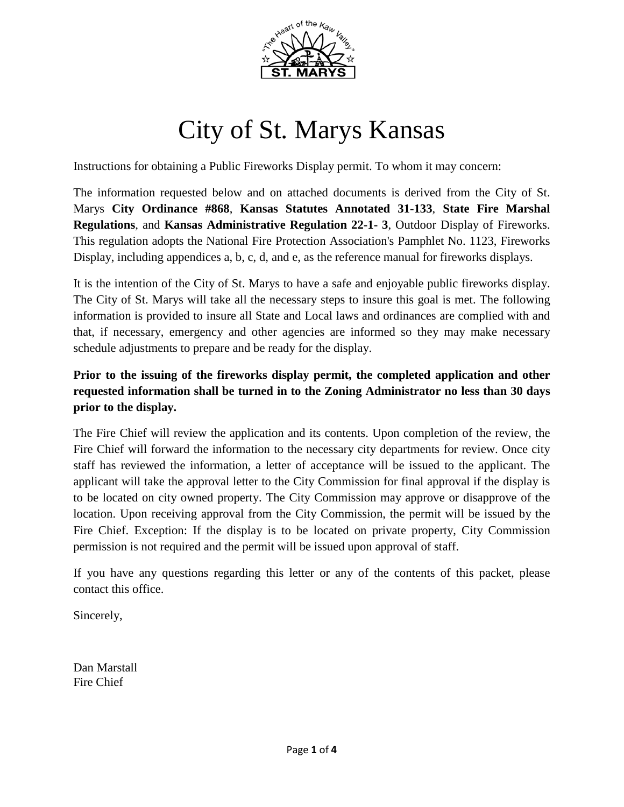

# City of St. Marys Kansas

Instructions for obtaining a Public Fireworks Display permit. To whom it may concern:

The information requested below and on attached documents is derived from the City of St. Marys **City Ordinance #868**, **Kansas Statutes Annotated 31-133**, **State Fire Marshal Regulations**, and **Kansas Administrative Regulation 22-1- 3**, Outdoor Display of Fireworks. This regulation adopts the National Fire Protection Association's Pamphlet No. 1123, Fireworks Display, including appendices a, b, c, d, and e, as the reference manual for fireworks displays.

It is the intention of the City of St. Marys to have a safe and enjoyable public fireworks display. The City of St. Marys will take all the necessary steps to insure this goal is met. The following information is provided to insure all State and Local laws and ordinances are complied with and that, if necessary, emergency and other agencies are informed so they may make necessary schedule adjustments to prepare and be ready for the display.

## **Prior to the issuing of the fireworks display permit, the completed application and other requested information shall be turned in to the Zoning Administrator no less than 30 days prior to the display.**

The Fire Chief will review the application and its contents. Upon completion of the review, the Fire Chief will forward the information to the necessary city departments for review. Once city staff has reviewed the information, a letter of acceptance will be issued to the applicant. The applicant will take the approval letter to the City Commission for final approval if the display is to be located on city owned property. The City Commission may approve or disapprove of the location. Upon receiving approval from the City Commission, the permit will be issued by the Fire Chief. Exception: If the display is to be located on private property, City Commission permission is not required and the permit will be issued upon approval of staff.

If you have any questions regarding this letter or any of the contents of this packet, please contact this office.

Sincerely,

Dan Marstall Fire Chief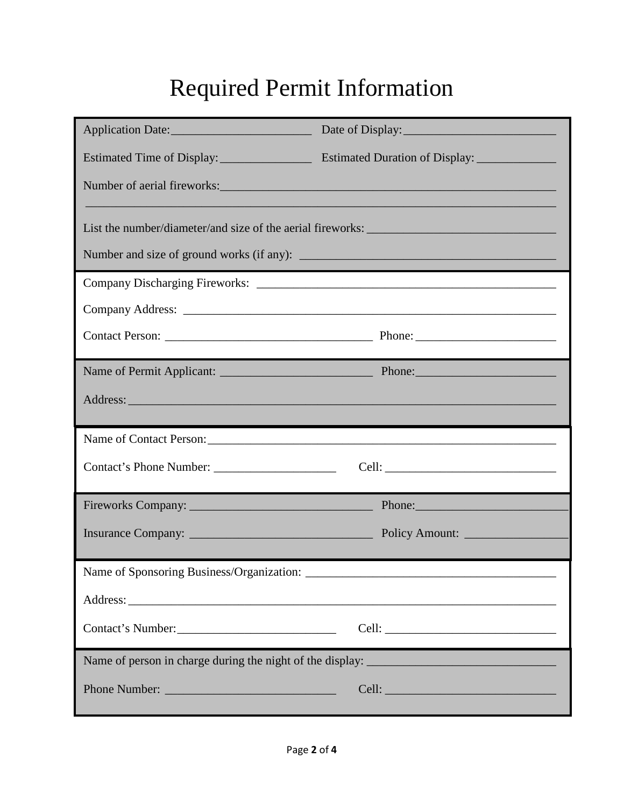## Required Permit Information

|                                                                                   | Number of aerial fireworks:                                                                                                                                                                                                   |  |  |  |  |  |  |  |
|-----------------------------------------------------------------------------------|-------------------------------------------------------------------------------------------------------------------------------------------------------------------------------------------------------------------------------|--|--|--|--|--|--|--|
|                                                                                   |                                                                                                                                                                                                                               |  |  |  |  |  |  |  |
| List the number/diameter/and size of the aerial fireworks: ______________________ |                                                                                                                                                                                                                               |  |  |  |  |  |  |  |
|                                                                                   |                                                                                                                                                                                                                               |  |  |  |  |  |  |  |
|                                                                                   |                                                                                                                                                                                                                               |  |  |  |  |  |  |  |
|                                                                                   |                                                                                                                                                                                                                               |  |  |  |  |  |  |  |
|                                                                                   |                                                                                                                                                                                                                               |  |  |  |  |  |  |  |
|                                                                                   |                                                                                                                                                                                                                               |  |  |  |  |  |  |  |
|                                                                                   |                                                                                                                                                                                                                               |  |  |  |  |  |  |  |
| Name of Contact Person:                                                           |                                                                                                                                                                                                                               |  |  |  |  |  |  |  |
|                                                                                   |                                                                                                                                                                                                                               |  |  |  |  |  |  |  |
|                                                                                   | Phone:                                                                                                                                                                                                                        |  |  |  |  |  |  |  |
|                                                                                   | Policy Amount:                                                                                                                                                                                                                |  |  |  |  |  |  |  |
|                                                                                   |                                                                                                                                                                                                                               |  |  |  |  |  |  |  |
|                                                                                   |                                                                                                                                                                                                                               |  |  |  |  |  |  |  |
|                                                                                   |                                                                                                                                                                                                                               |  |  |  |  |  |  |  |
| Contact's Number:                                                                 |                                                                                                                                                                                                                               |  |  |  |  |  |  |  |
|                                                                                   |                                                                                                                                                                                                                               |  |  |  |  |  |  |  |
| Phone Number:                                                                     | Cell: Celling and Celling and Celling and Celling and Celling and Celling and Celling and Celling and Celling and Celling and Celling and Celling and Celling and Celling and Celling and Celling and Celling and Celling and |  |  |  |  |  |  |  |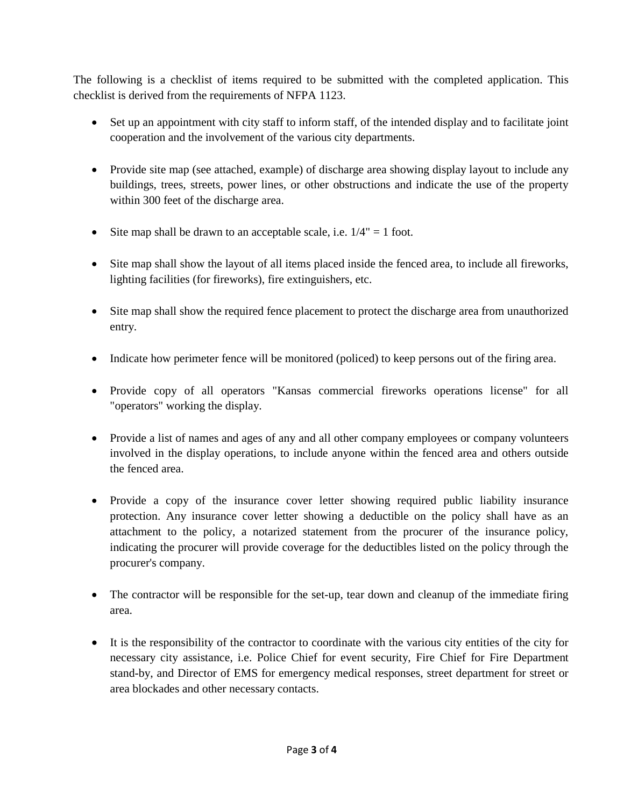The following is a checklist of items required to be submitted with the completed application. This checklist is derived from the requirements of NFPA 1123.

- Set up an appointment with city staff to inform staff, of the intended display and to facilitate joint cooperation and the involvement of the various city departments.
- Provide site map (see attached, example) of discharge area showing display layout to include any buildings, trees, streets, power lines, or other obstructions and indicate the use of the property within 300 feet of the discharge area.
- Site map shall be drawn to an acceptable scale, i.e.  $1/4" = 1$  foot.
- Site map shall show the layout of all items placed inside the fenced area, to include all fireworks, lighting facilities (for fireworks), fire extinguishers, etc.
- Site map shall show the required fence placement to protect the discharge area from unauthorized entry.
- Indicate how perimeter fence will be monitored (policed) to keep persons out of the firing area.
- Provide copy of all operators "Kansas commercial fireworks operations license" for all "operators" working the display.
- Provide a list of names and ages of any and all other company employees or company volunteers involved in the display operations, to include anyone within the fenced area and others outside the fenced area.
- Provide a copy of the insurance cover letter showing required public liability insurance protection. Any insurance cover letter showing a deductible on the policy shall have as an attachment to the policy, a notarized statement from the procurer of the insurance policy, indicating the procurer will provide coverage for the deductibles listed on the policy through the procurer's company.
- The contractor will be responsible for the set-up, tear down and cleanup of the immediate firing area.
- It is the responsibility of the contractor to coordinate with the various city entities of the city for necessary city assistance, i.e. Police Chief for event security, Fire Chief for Fire Department stand-by, and Director of EMS for emergency medical responses, street department for street or area blockades and other necessary contacts.